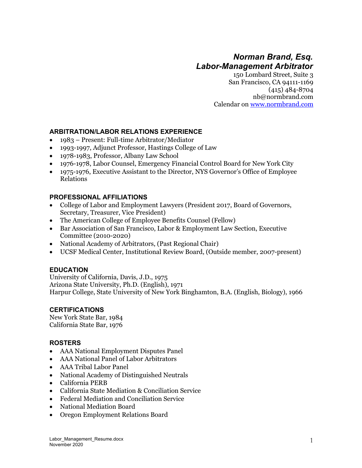# *Norman Brand, Esq. Labor-Management Arbitrator*

150 Lombard Street, Suite 3 San Francisco, CA 94111-1169 (415) 484-8704 nb@normbrand.com Calendar on www.normbrand.com

#### **ARBITRATION/LABOR RELATIONS EXPERIENCE**

- 1983 Present: Full-time Arbitrator/Mediator
- 1993-1997, Adjunct Professor, Hastings College of Law
- 1978-1983, Professor, Albany Law School
- 1976-1978, Labor Counsel, Emergency Financial Control Board for New York City
- 1975-1976, Executive Assistant to the Director, NYS Governor's Office of Employee Relations

### **PROFESSIONAL AFFILIATIONS**

- College of Labor and Employment Lawyers (President 2017, Board of Governors, Secretary, Treasurer, Vice President)
- The American College of Employee Benefits Counsel (Fellow)
- Bar Association of San Francisco, Labor & Employment Law Section, Executive Committee (2010-2020)
- National Academy of Arbitrators, (Past Regional Chair)
- UCSF Medical Center, Institutional Review Board, (Outside member, 2007-present)

#### **EDUCATION**

University of California, Davis, J.D., 1975 Arizona State University, Ph.D. (English), 1971 Harpur College, State University of New York Binghamton, B.A. (English, Biology), 1966

## **CERTIFICATIONS**

New York State Bar, 1984 California State Bar, 1976

#### **ROSTERS**

- AAA National Employment Disputes Panel
- AAA National Panel of Labor Arbitrators
- AAA Tribal Labor Panel
- National Academy of Distinguished Neutrals
- California PERB
- California State Mediation & Conciliation Service
- Federal Mediation and Conciliation Service
- National Mediation Board
- Oregon Employment Relations Board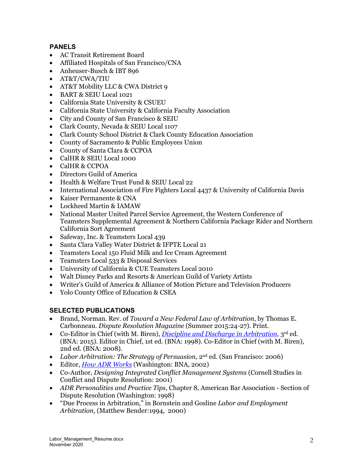# **PANELS**

- AC Transit Retirement Board
- Affiliated Hospitals of San Francisco/CNA
- Anheuser-Busch & IBT 896
- AT&T/CWA/TIU
- AT&T Mobility LLC & CWA District 9
- BART & SEIU Local 1021
- California State University & CSUEU
- California State University & California Faculty Association
- City and County of San Francisco & SEIU
- Clark County, Nevada & SEIU Local 1107
- Clark County School District & Clark County Education Association
- County of Sacramento & Public Employees Union
- County of Santa Clara & CCPOA
- CalHR & SEIU Local 1000
- CalHR & CCPOA
- Directors Guild of America
- Health & Welfare Trust Fund & SEIU Local 22
- International Association of Fire Fighters Local 4437 & University of California Davis
- Kaiser Permanente & CNA
- Lockheed Martin & IAMAW
- National Master United Parcel Service Agreement, the Western Conference of Teamsters Supplemental Agreement & Northern California Package Rider and Northern California Sort Agreement
- Safeway, Inc. & Teamsters Local 439
- Santa Clara Valley Water District & IFPTE Local 21
- Teamsters Local 150 Fluid Milk and Ice Cream Agreement
- Teamsters Local 533 & Disposal Services
- University of California & CUE Teamsters Local 2010
- Walt Disney Parks and Resorts & American Guild of Variety Artists
- Writer's Guild of America & Alliance of Motion Picture and Television Producers
- Yolo County Office of Education & CSEA

# **SELECTED PUBLICATIONS**

- Brand, Norman. Rev. of *Toward a New Federal Law of Arbitration*, by Thomas E. Carbonneau. *Dispute Resolution Magazine* (Summer 2015:24-27). Print.
- Co-Editor in Chief (with M. Biren), *Discipline and Discharge in Arbitration*, 3rd ed. (BNA: 2015). Editor in Chief, 1st ed. (BNA: 1998). Co-Editor in Chief (with M. Biren), 2nd ed. (BNA: 2008).
- *Labor Arbitration: The Strategy of Persuasion*, 2<sup>nd</sup> ed. (San Francisco: 2006)
- Editor, *How ADR Works* (Washington: BNA, 2002)
- Co-Author, *Designing Integrated Conflict Management Systems* (Cornell Studies in Conflict and Dispute Resolution: 2001)
- *ADR Personalities and Practice Tips*, Chapter 8, American Bar Association Section of Dispute Resolution (Washington: 1998)
- "Due Process in Arbitration," in Bornstein and Gosline *Labor and Employment Arbitration*, (Matthew Bender:1994, 2000)